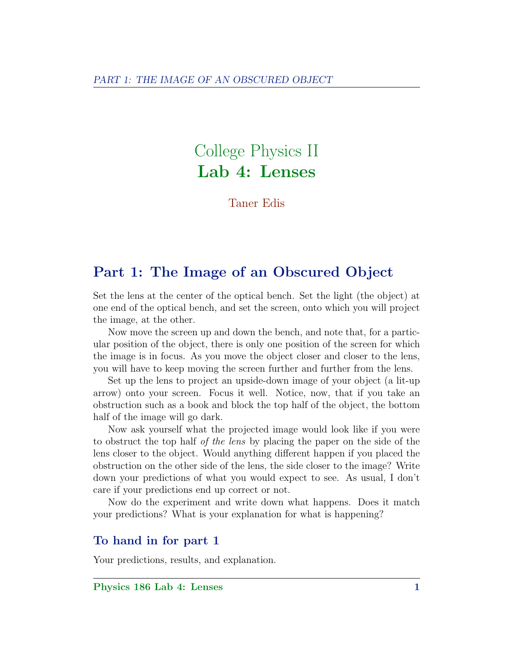# College Physics II Lab 4: Lenses

Taner Edis

## Part 1: The Image of an Obscured Object

Set the lens at the center of the optical bench. Set the light (the object) at one end of the optical bench, and set the screen, onto which you will project the image, at the other.

Now move the screen up and down the bench, and note that, for a particular position of the object, there is only one position of the screen for which the image is in focus. As you move the object closer and closer to the lens, you will have to keep moving the screen further and further from the lens.

Set up the lens to project an upside-down image of your object (a lit-up arrow) onto your screen. Focus it well. Notice, now, that if you take an obstruction such as a book and block the top half of the object, the bottom half of the image will go dark.

Now ask yourself what the projected image would look like if you were to obstruct the top half of the lens by placing the paper on the side of the lens closer to the object. Would anything different happen if you placed the obstruction on the other side of the lens, the side closer to the image? Write down your predictions of what you would expect to see. As usual, I don't care if your predictions end up correct or not.

Now do the experiment and write down what happens. Does it match your predictions? What is your explanation for what is happening?

### To hand in for part 1

Your predictions, results, and explanation.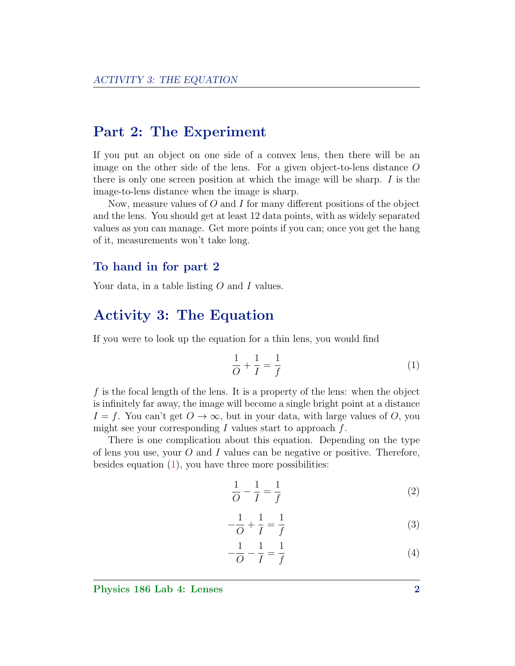## Part 2: The Experiment

If you put an object on one side of a convex lens, then there will be an image on the other side of the lens. For a given object-to-lens distance O there is only one screen position at which the image will be sharp.  $I$  is the image-to-lens distance when the image is sharp.

Now, measure values of  $O$  and  $I$  for many different positions of the object and the lens. You should get at least 12 data points, with as widely separated values as you can manage. Get more points if you can; once you get the hang of it, measurements won't take long.

#### To hand in for part 2

Your data, in a table listing O and I values.

## Activity 3: The Equation

If you were to look up the equation for a thin lens, you would find

<span id="page-1-0"></span>
$$
\frac{1}{O} + \frac{1}{I} = \frac{1}{f} \tag{1}
$$

f is the focal length of the lens. It is a property of the lens: when the object is infinitely far away, the image will become a single bright point at a distance  $I = f$ . You can't get  $O \to \infty$ , but in your data, with large values of O, you might see your corresponding  $I$  values start to approach  $f$ .

There is one complication about this equation. Depending on the type of lens you use, your  $O$  and  $I$  values can be negative or positive. Therefore, besides equation [\(1\)](#page-1-0), you have three more possibilities:

$$
\frac{1}{O} - \frac{1}{I} = \frac{1}{f} \tag{2}
$$

$$
-\frac{1}{O} + \frac{1}{I} = \frac{1}{f}
$$
 (3)

$$
-\frac{1}{O} - \frac{1}{I} = \frac{1}{f}
$$
 (4)